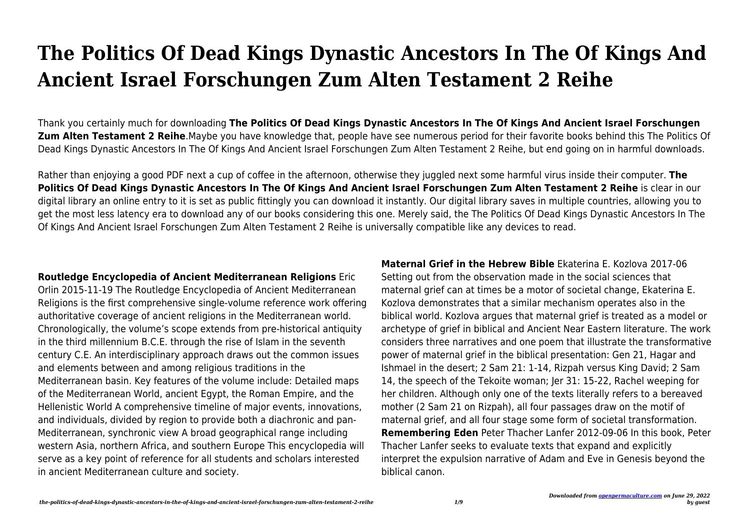## **The Politics Of Dead Kings Dynastic Ancestors In The Of Kings And Ancient Israel Forschungen Zum Alten Testament 2 Reihe**

Thank you certainly much for downloading **The Politics Of Dead Kings Dynastic Ancestors In The Of Kings And Ancient Israel Forschungen Zum Alten Testament 2 Reihe**.Maybe you have knowledge that, people have see numerous period for their favorite books behind this The Politics Of Dead Kings Dynastic Ancestors In The Of Kings And Ancient Israel Forschungen Zum Alten Testament 2 Reihe, but end going on in harmful downloads.

Rather than enjoying a good PDF next a cup of coffee in the afternoon, otherwise they juggled next some harmful virus inside their computer. **The Politics Of Dead Kings Dynastic Ancestors In The Of Kings And Ancient Israel Forschungen Zum Alten Testament 2 Reihe** is clear in our digital library an online entry to it is set as public fittingly you can download it instantly. Our digital library saves in multiple countries, allowing you to get the most less latency era to download any of our books considering this one. Merely said, the The Politics Of Dead Kings Dynastic Ancestors In The Of Kings And Ancient Israel Forschungen Zum Alten Testament 2 Reihe is universally compatible like any devices to read.

**Routledge Encyclopedia of Ancient Mediterranean Religions** Eric Orlin 2015-11-19 The Routledge Encyclopedia of Ancient Mediterranean Religions is the first comprehensive single-volume reference work offering authoritative coverage of ancient religions in the Mediterranean world. Chronologically, the volume's scope extends from pre-historical antiquity in the third millennium B.C.E. through the rise of Islam in the seventh century C.E. An interdisciplinary approach draws out the common issues and elements between and among religious traditions in the Mediterranean basin. Key features of the volume include: Detailed maps of the Mediterranean World, ancient Egypt, the Roman Empire, and the Hellenistic World A comprehensive timeline of major events, innovations, and individuals, divided by region to provide both a diachronic and pan-Mediterranean, synchronic view A broad geographical range including western Asia, northern Africa, and southern Europe This encyclopedia will serve as a key point of reference for all students and scholars interested in ancient Mediterranean culture and society.

**Maternal Grief in the Hebrew Bible** Ekaterina E. Kozlova 2017-06 Setting out from the observation made in the social sciences that maternal grief can at times be a motor of societal change, Ekaterina E. Kozlova demonstrates that a similar mechanism operates also in the biblical world. Kozlova argues that maternal grief is treated as a model or archetype of grief in biblical and Ancient Near Eastern literature. The work considers three narratives and one poem that illustrate the transformative power of maternal grief in the biblical presentation: Gen 21, Hagar and Ishmael in the desert; 2 Sam 21: 1-14, Rizpah versus King David; 2 Sam 14, the speech of the Tekoite woman; Jer 31: 15-22, Rachel weeping for her children. Although only one of the texts literally refers to a bereaved mother (2 Sam 21 on Rizpah), all four passages draw on the motif of maternal grief, and all four stage some form of societal transformation. **Remembering Eden** Peter Thacher Lanfer 2012-09-06 In this book, Peter Thacher Lanfer seeks to evaluate texts that expand and explicitly interpret the expulsion narrative of Adam and Eve in Genesis beyond the biblical canon.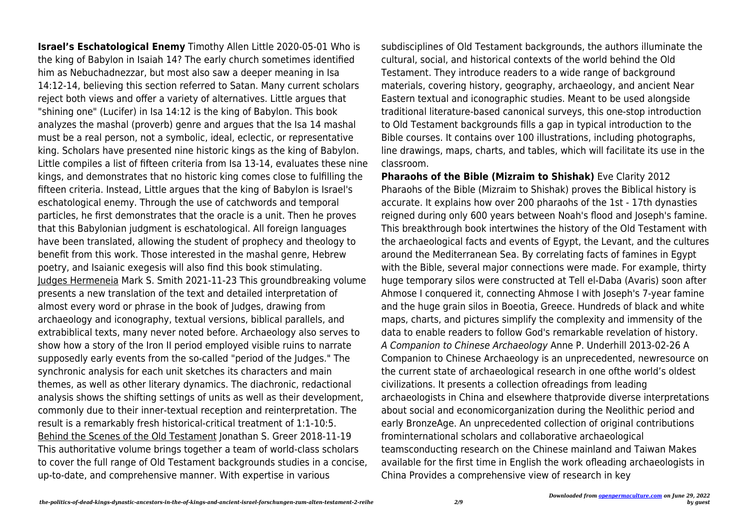**Israel's Eschatological Enemy** Timothy Allen Little 2020-05-01 Who is the king of Babylon in Isaiah 14? The early church sometimes identified him as Nebuchadnezzar, but most also saw a deeper meaning in Isa 14:12-14, believing this section referred to Satan. Many current scholars reject both views and offer a variety of alternatives. Little argues that "shining one" (Lucifer) in Isa 14:12 is the king of Babylon. This book analyzes the mashal (proverb) genre and argues that the Isa 14 mashal must be a real person, not a symbolic, ideal, eclectic, or representative king. Scholars have presented nine historic kings as the king of Babylon. Little compiles a list of fifteen criteria from Isa 13-14, evaluates these nine kings, and demonstrates that no historic king comes close to fulfilling the fifteen criteria. Instead, Little argues that the king of Babylon is Israel's eschatological enemy. Through the use of catchwords and temporal particles, he first demonstrates that the oracle is a unit. Then he proves that this Babylonian judgment is eschatological. All foreign languages have been translated, allowing the student of prophecy and theology to benefit from this work. Those interested in the mashal genre, Hebrew poetry, and Isaianic exegesis will also find this book stimulating. Judges Hermeneia Mark S. Smith 2021-11-23 This groundbreaking volume presents a new translation of the text and detailed interpretation of almost every word or phrase in the book of Judges, drawing from archaeology and iconography, textual versions, biblical parallels, and extrabiblical texts, many never noted before. Archaeology also serves to show how a story of the Iron II period employed visible ruins to narrate supposedly early events from the so-called "period of the Judges." The synchronic analysis for each unit sketches its characters and main themes, as well as other literary dynamics. The diachronic, redactional analysis shows the shifting settings of units as well as their development, commonly due to their inner-textual reception and reinterpretation. The result is a remarkably fresh historical-critical treatment of 1:1-10:5. Behind the Scenes of the Old Testament Jonathan S. Greer 2018-11-19 This authoritative volume brings together a team of world-class scholars to cover the full range of Old Testament backgrounds studies in a concise, up-to-date, and comprehensive manner. With expertise in various

subdisciplines of Old Testament backgrounds, the authors illuminate the cultural, social, and historical contexts of the world behind the Old Testament. They introduce readers to a wide range of background materials, covering history, geography, archaeology, and ancient Near Eastern textual and iconographic studies. Meant to be used alongside traditional literature-based canonical surveys, this one-stop introduction to Old Testament backgrounds fills a gap in typical introduction to the Bible courses. It contains over 100 illustrations, including photographs, line drawings, maps, charts, and tables, which will facilitate its use in the classroom.

**Pharaohs of the Bible (Mizraim to Shishak)** Eve Clarity 2012 Pharaohs of the Bible (Mizraim to Shishak) proves the Biblical history is accurate. It explains how over 200 pharaohs of the 1st - 17th dynasties reigned during only 600 years between Noah's flood and Joseph's famine. This breakthrough book intertwines the history of the Old Testament with the archaeological facts and events of Egypt, the Levant, and the cultures around the Mediterranean Sea. By correlating facts of famines in Egypt with the Bible, several major connections were made. For example, thirty huge temporary silos were constructed at Tell el-Daba (Avaris) soon after Ahmose I conquered it, connecting Ahmose I with Joseph's 7-year famine and the huge grain silos in Boeotia, Greece. Hundreds of black and white maps, charts, and pictures simplify the complexity and immensity of the data to enable readers to follow God's remarkable revelation of history. A Companion to Chinese Archaeology Anne P. Underhill 2013-02-26 A Companion to Chinese Archaeology is an unprecedented, newresource on the current state of archaeological research in one ofthe world's oldest civilizations. It presents a collection ofreadings from leading archaeologists in China and elsewhere thatprovide diverse interpretations about social and economicorganization during the Neolithic period and early BronzeAge. An unprecedented collection of original contributions frominternational scholars and collaborative archaeological teamsconducting research on the Chinese mainland and Taiwan Makes available for the first time in English the work ofleading archaeologists in China Provides a comprehensive view of research in key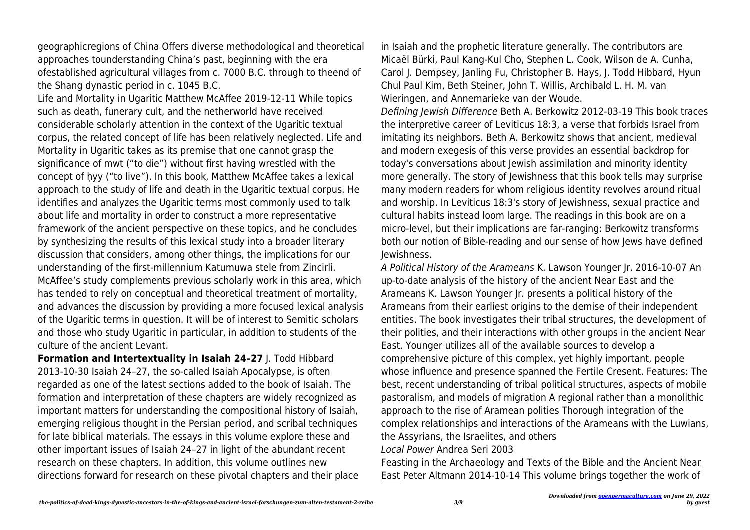geographicregions of China Offers diverse methodological and theoretical approaches tounderstanding China's past, beginning with the era ofestablished agricultural villages from c. 7000 B.C. through to theend of the Shang dynastic period in c. 1045 B.C.

Life and Mortality in Ugaritic Matthew McAffee 2019-12-11 While topics such as death, funerary cult, and the netherworld have received considerable scholarly attention in the context of the Ugaritic textual corpus, the related concept of life has been relatively neglected. Life and Mortality in Ugaritic takes as its premise that one cannot grasp the significance of mwt ("to die") without first having wrestled with the concept of ḥyy ("to live"). In this book, Matthew McAffee takes a lexical approach to the study of life and death in the Ugaritic textual corpus. He identifies and analyzes the Ugaritic terms most commonly used to talk about life and mortality in order to construct a more representative framework of the ancient perspective on these topics, and he concludes by synthesizing the results of this lexical study into a broader literary discussion that considers, among other things, the implications for our understanding of the first-millennium Katumuwa stele from Zincirli. McAffee's study complements previous scholarly work in this area, which has tended to rely on conceptual and theoretical treatment of mortality, and advances the discussion by providing a more focused lexical analysis of the Ugaritic terms in question. It will be of interest to Semitic scholars and those who study Ugaritic in particular, in addition to students of the culture of the ancient Levant.

**Formation and Intertextuality in Isaiah 24–27** J. Todd Hibbard 2013-10-30 Isaiah 24–27, the so-called Isaiah Apocalypse, is often regarded as one of the latest sections added to the book of Isaiah. The formation and interpretation of these chapters are widely recognized as important matters for understanding the compositional history of Isaiah, emerging religious thought in the Persian period, and scribal techniques for late biblical materials. The essays in this volume explore these and other important issues of Isaiah 24–27 in light of the abundant recent research on these chapters. In addition, this volume outlines new directions forward for research on these pivotal chapters and their place in Isaiah and the prophetic literature generally. The contributors are Micaël Bürki, Paul Kang-Kul Cho, Stephen L. Cook, Wilson de A. Cunha, Carol J. Dempsey, Janling Fu, Christopher B. Hays, J. Todd Hibbard, Hyun Chul Paul Kim, Beth Steiner, John T. Willis, Archibald L. H. M. van Wieringen, and Annemarieke van der Woude.

Defining Jewish Difference Beth A. Berkowitz 2012-03-19 This book traces the interpretive career of Leviticus 18:3, a verse that forbids Israel from imitating its neighbors. Beth A. Berkowitz shows that ancient, medieval and modern exegesis of this verse provides an essential backdrop for today's conversations about Jewish assimilation and minority identity more generally. The story of Jewishness that this book tells may surprise many modern readers for whom religious identity revolves around ritual and worship. In Leviticus 18:3's story of Jewishness, sexual practice and cultural habits instead loom large. The readings in this book are on a micro-level, but their implications are far-ranging: Berkowitz transforms both our notion of Bible-reading and our sense of how Jews have defined Jewishness.

A Political History of the Arameans K. Lawson Younger Jr. 2016-10-07 An up-to-date analysis of the history of the ancient Near East and the Arameans K. Lawson Younger Jr. presents a political history of the Arameans from their earliest origins to the demise of their independent entities. The book investigates their tribal structures, the development of their polities, and their interactions with other groups in the ancient Near East. Younger utilizes all of the available sources to develop a comprehensive picture of this complex, yet highly important, people whose influence and presence spanned the Fertile Cresent. Features: The best, recent understanding of tribal political structures, aspects of mobile pastoralism, and models of migration A regional rather than a monolithic approach to the rise of Aramean polities Thorough integration of the complex relationships and interactions of the Arameans with the Luwians, the Assyrians, the Israelites, and others Local Power Andrea Seri 2003

Feasting in the Archaeology and Texts of the Bible and the Ancient Near East Peter Altmann 2014-10-14 This volume brings together the work of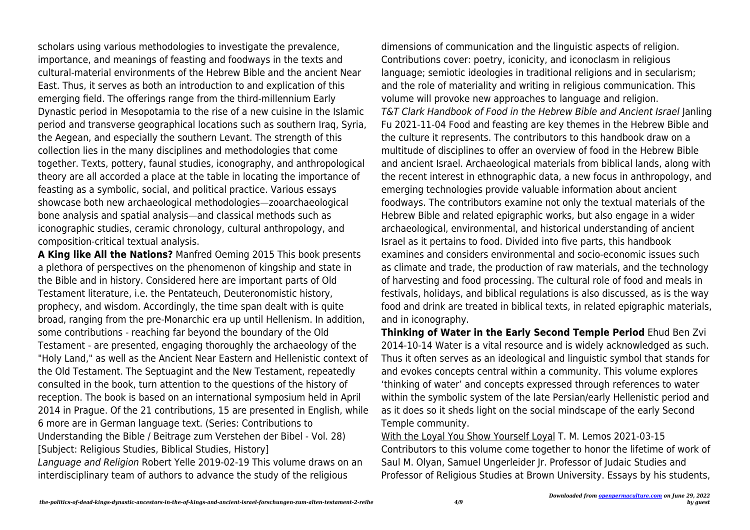scholars using various methodologies to investigate the prevalence, importance, and meanings of feasting and foodways in the texts and cultural-material environments of the Hebrew Bible and the ancient Near East. Thus, it serves as both an introduction to and explication of this emerging field. The offerings range from the third-millennium Early Dynastic period in Mesopotamia to the rise of a new cuisine in the Islamic period and transverse geographical locations such as southern Iraq, Syria, the Aegean, and especially the southern Levant. The strength of this collection lies in the many disciplines and methodologies that come together. Texts, pottery, faunal studies, iconography, and anthropological theory are all accorded a place at the table in locating the importance of feasting as a symbolic, social, and political practice. Various essays showcase both new archaeological methodologies—zooarchaeological bone analysis and spatial analysis—and classical methods such as iconographic studies, ceramic chronology, cultural anthropology, and composition-critical textual analysis.

**A King like All the Nations?** Manfred Oeming 2015 This book presents a plethora of perspectives on the phenomenon of kingship and state in the Bible and in history. Considered here are important parts of Old Testament literature, i.e. the Pentateuch, Deuteronomistic history, prophecy, and wisdom. Accordingly, the time span dealt with is quite broad, ranging from the pre-Monarchic era up until Hellenism. In addition, some contributions - reaching far beyond the boundary of the Old Testament - are presented, engaging thoroughly the archaeology of the "Holy Land," as well as the Ancient Near Eastern and Hellenistic context of the Old Testament. The Septuagint and the New Testament, repeatedly consulted in the book, turn attention to the questions of the history of reception. The book is based on an international symposium held in April 2014 in Prague. Of the 21 contributions, 15 are presented in English, while 6 more are in German language text. (Series: Contributions to Understanding the Bible / Beitrage zum Verstehen der Bibel - Vol. 28) [Subject: Religious Studies, Biblical Studies, History]

Language and Religion Robert Yelle 2019-02-19 This volume draws on an interdisciplinary team of authors to advance the study of the religious

dimensions of communication and the linguistic aspects of religion. Contributions cover: poetry, iconicity, and iconoclasm in religious language; semiotic ideologies in traditional religions and in secularism; and the role of materiality and writing in religious communication. This volume will provoke new approaches to language and religion. T&T Clark Handbook of Food in the Hebrew Bible and Ancient Israel Janling Fu 2021-11-04 Food and feasting are key themes in the Hebrew Bible and the culture it represents. The contributors to this handbook draw on a multitude of disciplines to offer an overview of food in the Hebrew Bible and ancient Israel. Archaeological materials from biblical lands, along with the recent interest in ethnographic data, a new focus in anthropology, and emerging technologies provide valuable information about ancient foodways. The contributors examine not only the textual materials of the Hebrew Bible and related epigraphic works, but also engage in a wider archaeological, environmental, and historical understanding of ancient Israel as it pertains to food. Divided into five parts, this handbook examines and considers environmental and socio-economic issues such as climate and trade, the production of raw materials, and the technology of harvesting and food processing. The cultural role of food and meals in festivals, holidays, and biblical regulations is also discussed, as is the way food and drink are treated in biblical texts, in related epigraphic materials, and in iconography.

**Thinking of Water in the Early Second Temple Period** Ehud Ben Zvi 2014-10-14 Water is a vital resource and is widely acknowledged as such. Thus it often serves as an ideological and linguistic symbol that stands for and evokes concepts central within a community. This volume explores 'thinking of water' and concepts expressed through references to water within the symbolic system of the late Persian/early Hellenistic period and as it does so it sheds light on the social mindscape of the early Second Temple community.

With the Loyal You Show Yourself Loyal T. M. Lemos 2021-03-15 Contributors to this volume come together to honor the lifetime of work of Saul M. Olyan, Samuel Ungerleider Jr. Professor of Judaic Studies and Professor of Religious Studies at Brown University. Essays by his students,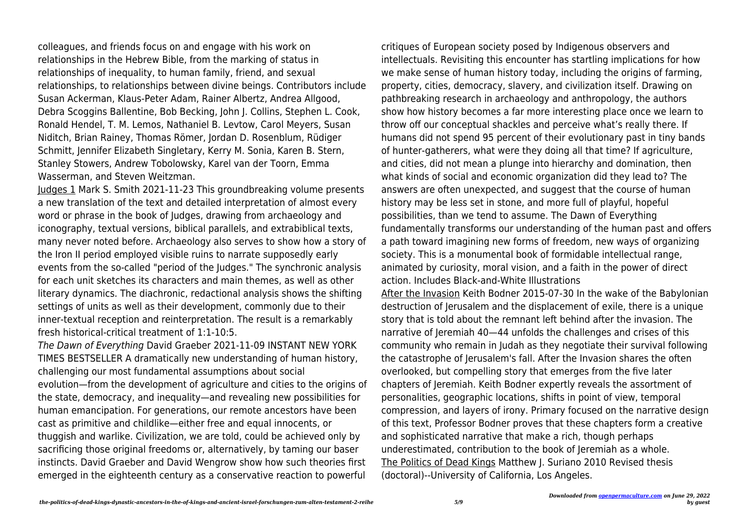colleagues, and friends focus on and engage with his work on relationships in the Hebrew Bible, from the marking of status in relationships of inequality, to human family, friend, and sexual relationships, to relationships between divine beings. Contributors include Susan Ackerman, Klaus-Peter Adam, Rainer Albertz, Andrea Allgood, Debra Scoggins Ballentine, Bob Becking, John J. Collins, Stephen L. Cook, Ronald Hendel, T. M. Lemos, Nathaniel B. Levtow, Carol Meyers, Susan Niditch, Brian Rainey, Thomas Römer, Jordan D. Rosenblum, Rüdiger Schmitt, Jennifer Elizabeth Singletary, Kerry M. Sonia, Karen B. Stern, Stanley Stowers, Andrew Tobolowsky, Karel van der Toorn, Emma Wasserman, and Steven Weitzman.

Judges 1 Mark S. Smith 2021-11-23 This groundbreaking volume presents a new translation of the text and detailed interpretation of almost every word or phrase in the book of Judges, drawing from archaeology and iconography, textual versions, biblical parallels, and extrabiblical texts, many never noted before. Archaeology also serves to show how a story of the Iron II period employed visible ruins to narrate supposedly early events from the so-called "period of the Judges." The synchronic analysis for each unit sketches its characters and main themes, as well as other literary dynamics. The diachronic, redactional analysis shows the shifting settings of units as well as their development, commonly due to their inner-textual reception and reinterpretation. The result is a remarkably fresh historical-critical treatment of 1:1-10:5.

The Dawn of Everything David Graeber 2021-11-09 INSTANT NEW YORK TIMES BESTSELLER A dramatically new understanding of human history, challenging our most fundamental assumptions about social evolution—from the development of agriculture and cities to the origins of the state, democracy, and inequality—and revealing new possibilities for human emancipation. For generations, our remote ancestors have been cast as primitive and childlike—either free and equal innocents, or thuggish and warlike. Civilization, we are told, could be achieved only by sacrificing those original freedoms or, alternatively, by taming our baser instincts. David Graeber and David Wengrow show how such theories first emerged in the eighteenth century as a conservative reaction to powerful

critiques of European society posed by Indigenous observers and intellectuals. Revisiting this encounter has startling implications for how we make sense of human history today, including the origins of farming, property, cities, democracy, slavery, and civilization itself. Drawing on pathbreaking research in archaeology and anthropology, the authors show how history becomes a far more interesting place once we learn to throw off our conceptual shackles and perceive what's really there. If humans did not spend 95 percent of their evolutionary past in tiny bands of hunter-gatherers, what were they doing all that time? If agriculture, and cities, did not mean a plunge into hierarchy and domination, then what kinds of social and economic organization did they lead to? The answers are often unexpected, and suggest that the course of human history may be less set in stone, and more full of playful, hopeful possibilities, than we tend to assume. The Dawn of Everything fundamentally transforms our understanding of the human past and offers a path toward imagining new forms of freedom, new ways of organizing society. This is a monumental book of formidable intellectual range, animated by curiosity, moral vision, and a faith in the power of direct action. Includes Black-and-White Illustrations

After the Invasion Keith Bodner 2015-07-30 In the wake of the Babylonian destruction of Jerusalem and the displacement of exile, there is a unique story that is told about the remnant left behind after the invasion. The narrative of Jeremiah 40—44 unfolds the challenges and crises of this community who remain in Judah as they negotiate their survival following the catastrophe of Jerusalem's fall. After the Invasion shares the often overlooked, but compelling story that emerges from the five later chapters of Jeremiah. Keith Bodner expertly reveals the assortment of personalities, geographic locations, shifts in point of view, temporal compression, and layers of irony. Primary focused on the narrative design of this text, Professor Bodner proves that these chapters form a creative and sophisticated narrative that make a rich, though perhaps underestimated, contribution to the book of Jeremiah as a whole. The Politics of Dead Kings Matthew J. Suriano 2010 Revised thesis (doctoral)--University of California, Los Angeles.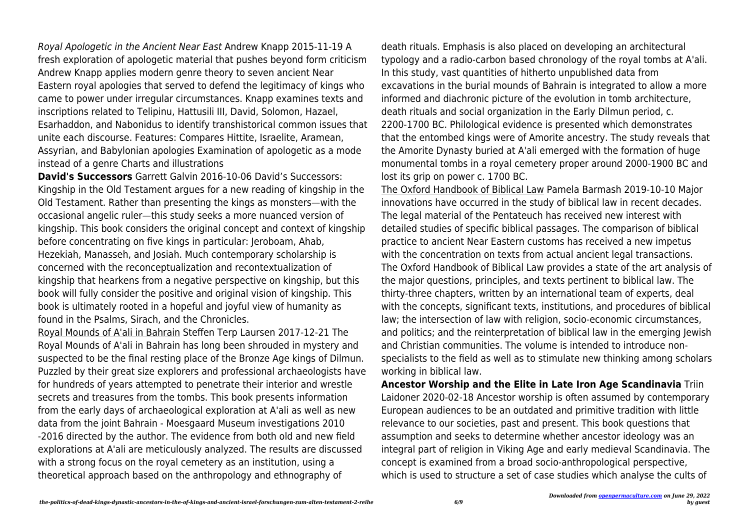Royal Apologetic in the Ancient Near East Andrew Knapp 2015-11-19 A fresh exploration of apologetic material that pushes beyond form criticism Andrew Knapp applies modern genre theory to seven ancient Near Eastern royal apologies that served to defend the legitimacy of kings who came to power under irregular circumstances. Knapp examines texts and inscriptions related to Telipinu, Hattusili III, David, Solomon, Hazael, Esarhaddon, and Nabonidus to identify transhistorical common issues that unite each discourse. Features: Compares Hittite, Israelite, Aramean, Assyrian, and Babylonian apologies Examination of apologetic as a mode instead of a genre Charts and illustrations

**David's Successors** Garrett Galvin 2016-10-06 David's Successors: Kingship in the Old Testament argues for a new reading of kingship in the Old Testament. Rather than presenting the kings as monsters—with the occasional angelic ruler—this study seeks a more nuanced version of kingship. This book considers the original concept and context of kingship before concentrating on five kings in particular: Jeroboam, Ahab, Hezekiah, Manasseh, and Josiah. Much contemporary scholarship is concerned with the reconceptualization and recontextualization of kingship that hearkens from a negative perspective on kingship, but this book will fully consider the positive and original vision of kingship. This book is ultimately rooted in a hopeful and joyful view of humanity as found in the Psalms, Sirach, and the Chronicles.

Royal Mounds of A'ali in Bahrain Steffen Terp Laursen 2017-12-21 The Royal Mounds of A'ali in Bahrain has long been shrouded in mystery and suspected to be the final resting place of the Bronze Age kings of Dilmun. Puzzled by their great size explorers and professional archaeologists have for hundreds of years attempted to penetrate their interior and wrestle secrets and treasures from the tombs. This book presents information from the early days of archaeological exploration at A'ali as well as new data from the joint Bahrain - Moesgaard Museum investigations 2010 -2016 directed by the author. The evidence from both old and new field explorations at A'ali are meticulously analyzed. The results are discussed with a strong focus on the royal cemetery as an institution, using a theoretical approach based on the anthropology and ethnography of

death rituals. Emphasis is also placed on developing an architectural typology and a radio-carbon based chronology of the royal tombs at A'ali. In this study, vast quantities of hitherto unpublished data from excavations in the burial mounds of Bahrain is integrated to allow a more informed and diachronic picture of the evolution in tomb architecture, death rituals and social organization in the Early Dilmun period, c. 2200-1700 BC. Philological evidence is presented which demonstrates that the entombed kings were of Amorite ancestry. The study reveals that the Amorite Dynasty buried at A'ali emerged with the formation of huge monumental tombs in a royal cemetery proper around 2000-1900 BC and lost its grip on power c. 1700 BC.

The Oxford Handbook of Biblical Law Pamela Barmash 2019-10-10 Major innovations have occurred in the study of biblical law in recent decades. The legal material of the Pentateuch has received new interest with detailed studies of specific biblical passages. The comparison of biblical practice to ancient Near Eastern customs has received a new impetus with the concentration on texts from actual ancient legal transactions. The Oxford Handbook of Biblical Law provides a state of the art analysis of the major questions, principles, and texts pertinent to biblical law. The thirty-three chapters, written by an international team of experts, deal with the concepts, significant texts, institutions, and procedures of biblical law; the intersection of law with religion, socio-economic circumstances, and politics; and the reinterpretation of biblical law in the emerging Jewish and Christian communities. The volume is intended to introduce nonspecialists to the field as well as to stimulate new thinking among scholars working in biblical law.

**Ancestor Worship and the Elite in Late Iron Age Scandinavia** Triin Laidoner 2020-02-18 Ancestor worship is often assumed by contemporary European audiences to be an outdated and primitive tradition with little relevance to our societies, past and present. This book questions that assumption and seeks to determine whether ancestor ideology was an integral part of religion in Viking Age and early medieval Scandinavia. The concept is examined from a broad socio-anthropological perspective, which is used to structure a set of case studies which analyse the cults of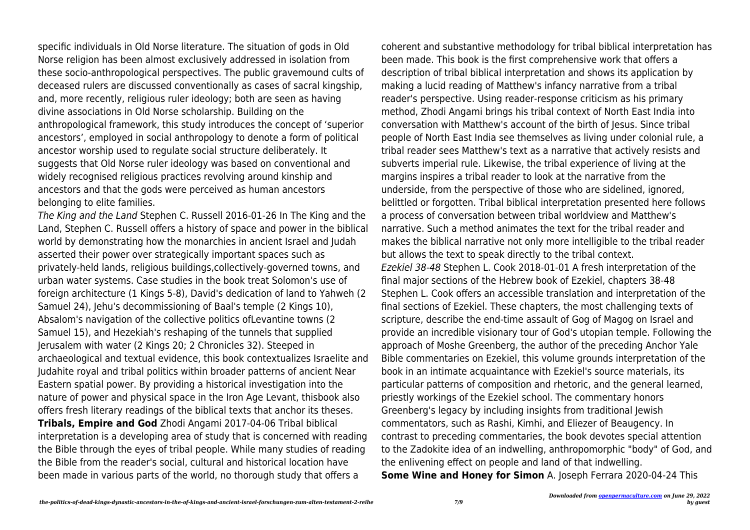specific individuals in Old Norse literature. The situation of gods in Old Norse religion has been almost exclusively addressed in isolation from these socio-anthropological perspectives. The public gravemound cults of deceased rulers are discussed conventionally as cases of sacral kingship, and, more recently, religious ruler ideology; both are seen as having divine associations in Old Norse scholarship. Building on the anthropological framework, this study introduces the concept of 'superior ancestors', employed in social anthropology to denote a form of political ancestor worship used to regulate social structure deliberately. It suggests that Old Norse ruler ideology was based on conventional and widely recognised religious practices revolving around kinship and ancestors and that the gods were perceived as human ancestors belonging to elite families.

The King and the Land Stephen C. Russell 2016-01-26 In The King and the Land, Stephen C. Russell offers a history of space and power in the biblical world by demonstrating how the monarchies in ancient Israel and Judah asserted their power over strategically important spaces such as privately-held lands, religious buildings,collectively-governed towns, and urban water systems. Case studies in the book treat Solomon's use of foreign architecture (1 Kings 5-8), David's dedication of land to Yahweh (2 Samuel 24), Jehu's decommissioning of Baal's temple (2 Kings 10), Absalom's navigation of the collective politics ofLevantine towns (2 Samuel 15), and Hezekiah's reshaping of the tunnels that supplied Jerusalem with water (2 Kings 20; 2 Chronicles 32). Steeped in archaeological and textual evidence, this book contextualizes Israelite and Judahite royal and tribal politics within broader patterns of ancient Near Eastern spatial power. By providing a historical investigation into the nature of power and physical space in the Iron Age Levant, thisbook also offers fresh literary readings of the biblical texts that anchor its theses. **Tribals, Empire and God** Zhodi Angami 2017-04-06 Tribal biblical interpretation is a developing area of study that is concerned with reading the Bible through the eyes of tribal people. While many studies of reading the Bible from the reader's social, cultural and historical location have been made in various parts of the world, no thorough study that offers a

coherent and substantive methodology for tribal biblical interpretation has been made. This book is the first comprehensive work that offers a description of tribal biblical interpretation and shows its application by making a lucid reading of Matthew's infancy narrative from a tribal reader's perspective. Using reader-response criticism as his primary method, Zhodi Angami brings his tribal context of North East India into conversation with Matthew's account of the birth of Jesus. Since tribal people of North East India see themselves as living under colonial rule, a tribal reader sees Matthew's text as a narrative that actively resists and subverts imperial rule. Likewise, the tribal experience of living at the margins inspires a tribal reader to look at the narrative from the underside, from the perspective of those who are sidelined, ignored, belittled or forgotten. Tribal biblical interpretation presented here follows a process of conversation between tribal worldview and Matthew's narrative. Such a method animates the text for the tribal reader and makes the biblical narrative not only more intelligible to the tribal reader but allows the text to speak directly to the tribal context. Ezekiel 38-48 Stephen L. Cook 2018-01-01 A fresh interpretation of the final major sections of the Hebrew book of Ezekiel, chapters 38-48 Stephen L. Cook offers an accessible translation and interpretation of the final sections of Ezekiel. These chapters, the most challenging texts of scripture, describe the end-time assault of Gog of Magog on Israel and provide an incredible visionary tour of God's utopian temple. Following the approach of Moshe Greenberg, the author of the preceding Anchor Yale Bible commentaries on Ezekiel, this volume grounds interpretation of the book in an intimate acquaintance with Ezekiel's source materials, its particular patterns of composition and rhetoric, and the general learned, priestly workings of the Ezekiel school. The commentary honors Greenberg's legacy by including insights from traditional Jewish commentators, such as Rashi, Kimhi, and Eliezer of Beaugency. In contrast to preceding commentaries, the book devotes special attention to the Zadokite idea of an indwelling, anthropomorphic "body" of God, and the enlivening effect on people and land of that indwelling. **Some Wine and Honey for Simon** A. Joseph Ferrara 2020-04-24 This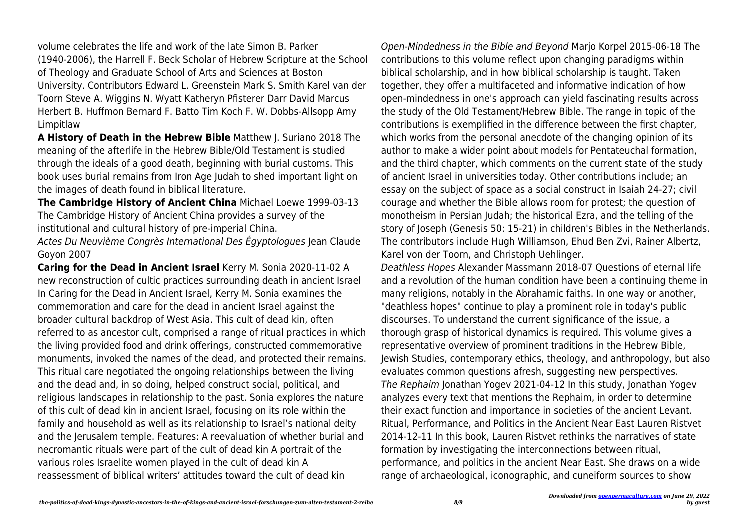volume celebrates the life and work of the late Simon B. Parker (1940-2006), the Harrell F. Beck Scholar of Hebrew Scripture at the School of Theology and Graduate School of Arts and Sciences at Boston University. Contributors Edward L. Greenstein Mark S. Smith Karel van der Toorn Steve A. Wiggins N. Wyatt Katheryn Pfisterer Darr David Marcus Herbert B. Huffmon Bernard F. Batto Tim Koch F. W. Dobbs-Allsopp Amy Limpitlaw

**A History of Death in the Hebrew Bible** Matthew J. Suriano 2018 The meaning of the afterlife in the Hebrew Bible/Old Testament is studied through the ideals of a good death, beginning with burial customs. This book uses burial remains from Iron Age Judah to shed important light on the images of death found in biblical literature.

**The Cambridge History of Ancient China** Michael Loewe 1999-03-13 The Cambridge History of Ancient China provides a survey of the institutional and cultural history of pre-imperial China.

Actes Du Neuvième Congrès International Des Égyptologues Jean Claude Goyon 2007

**Caring for the Dead in Ancient Israel** Kerry M. Sonia 2020-11-02 A new reconstruction of cultic practices surrounding death in ancient Israel In Caring for the Dead in Ancient Israel, Kerry M. Sonia examines the commemoration and care for the dead in ancient Israel against the broader cultural backdrop of West Asia. This cult of dead kin, often referred to as ancestor cult, comprised a range of ritual practices in which the living provided food and drink offerings, constructed commemorative monuments, invoked the names of the dead, and protected their remains. This ritual care negotiated the ongoing relationships between the living and the dead and, in so doing, helped construct social, political, and religious landscapes in relationship to the past. Sonia explores the nature of this cult of dead kin in ancient Israel, focusing on its role within the family and household as well as its relationship to Israel's national deity and the Jerusalem temple. Features: A reevaluation of whether burial and necromantic rituals were part of the cult of dead kin A portrait of the various roles Israelite women played in the cult of dead kin A reassessment of biblical writers' attitudes toward the cult of dead kin

Open-Mindedness in the Bible and Beyond Marjo Korpel 2015-06-18 The contributions to this volume reflect upon changing paradigms within biblical scholarship, and in how biblical scholarship is taught. Taken together, they offer a multifaceted and informative indication of how open-mindedness in one's approach can yield fascinating results across the study of the Old Testament/Hebrew Bible. The range in topic of the contributions is exemplified in the difference between the first chapter, which works from the personal anecdote of the changing opinion of its author to make a wider point about models for Pentateuchal formation, and the third chapter, which comments on the current state of the study of ancient Israel in universities today. Other contributions include; an essay on the subject of space as a social construct in Isaiah 24-27; civil courage and whether the Bible allows room for protest; the question of monotheism in Persian Judah; the historical Ezra, and the telling of the story of Joseph (Genesis 50: 15-21) in children's Bibles in the Netherlands. The contributors include Hugh Williamson, Ehud Ben Zvi, Rainer Albertz, Karel von der Toorn, and Christoph Uehlinger.

Deathless Hopes Alexander Massmann 2018-07 Questions of eternal life and a revolution of the human condition have been a continuing theme in many religions, notably in the Abrahamic faiths. In one way or another, "deathless hopes" continue to play a prominent role in today's public discourses. To understand the current significance of the issue, a thorough grasp of historical dynamics is required. This volume gives a representative overview of prominent traditions in the Hebrew Bible, Jewish Studies, contemporary ethics, theology, and anthropology, but also evaluates common questions afresh, suggesting new perspectives. The Rephaim Jonathan Yogev 2021-04-12 In this study, Jonathan Yogev analyzes every text that mentions the Rephaim, in order to determine their exact function and importance in societies of the ancient Levant. Ritual, Performance, and Politics in the Ancient Near East Lauren Ristvet 2014-12-11 In this book, Lauren Ristvet rethinks the narratives of state formation by investigating the interconnections between ritual, performance, and politics in the ancient Near East. She draws on a wide range of archaeological, iconographic, and cuneiform sources to show